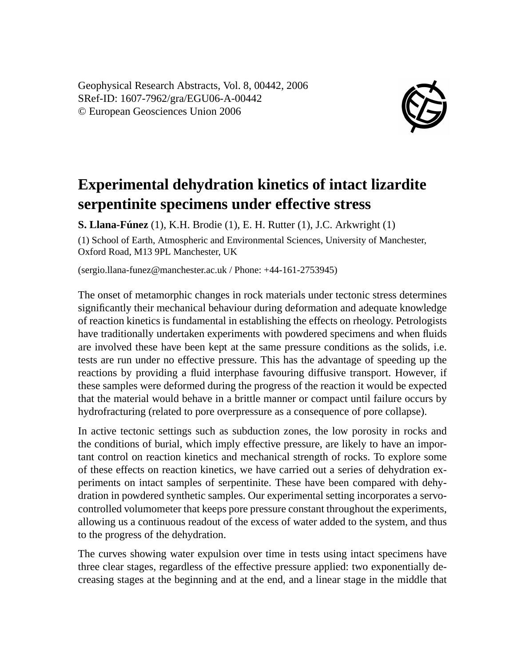Geophysical Research Abstracts, Vol. 8, 00442, 2006 SRef-ID: 1607-7962/gra/EGU06-A-00442 © European Geosciences Union 2006



## **Experimental dehydration kinetics of intact lizardite serpentinite specimens under effective stress**

**S. Llana-Fúnez** (1), K.H. Brodie (1), E. H. Rutter (1), J.C. Arkwright (1) (1) School of Earth, Atmospheric and Environmental Sciences, University of Manchester, Oxford Road, M13 9PL Manchester, UK

(sergio.llana-funez@manchester.ac.uk / Phone: +44-161-2753945)

The onset of metamorphic changes in rock materials under tectonic stress determines significantly their mechanical behaviour during deformation and adequate knowledge of reaction kinetics is fundamental in establishing the effects on rheology. Petrologists have traditionally undertaken experiments with powdered specimens and when fluids are involved these have been kept at the same pressure conditions as the solids, i.e. tests are run under no effective pressure. This has the advantage of speeding up the reactions by providing a fluid interphase favouring diffusive transport. However, if these samples were deformed during the progress of the reaction it would be expected that the material would behave in a brittle manner or compact until failure occurs by hydrofracturing (related to pore overpressure as a consequence of pore collapse).

In active tectonic settings such as subduction zones, the low porosity in rocks and the conditions of burial, which imply effective pressure, are likely to have an important control on reaction kinetics and mechanical strength of rocks. To explore some of these effects on reaction kinetics, we have carried out a series of dehydration experiments on intact samples of serpentinite. These have been compared with dehydration in powdered synthetic samples. Our experimental setting incorporates a servocontrolled volumometer that keeps pore pressure constant throughout the experiments, allowing us a continuous readout of the excess of water added to the system, and thus to the progress of the dehydration.

The curves showing water expulsion over time in tests using intact specimens have three clear stages, regardless of the effective pressure applied: two exponentially decreasing stages at the beginning and at the end, and a linear stage in the middle that